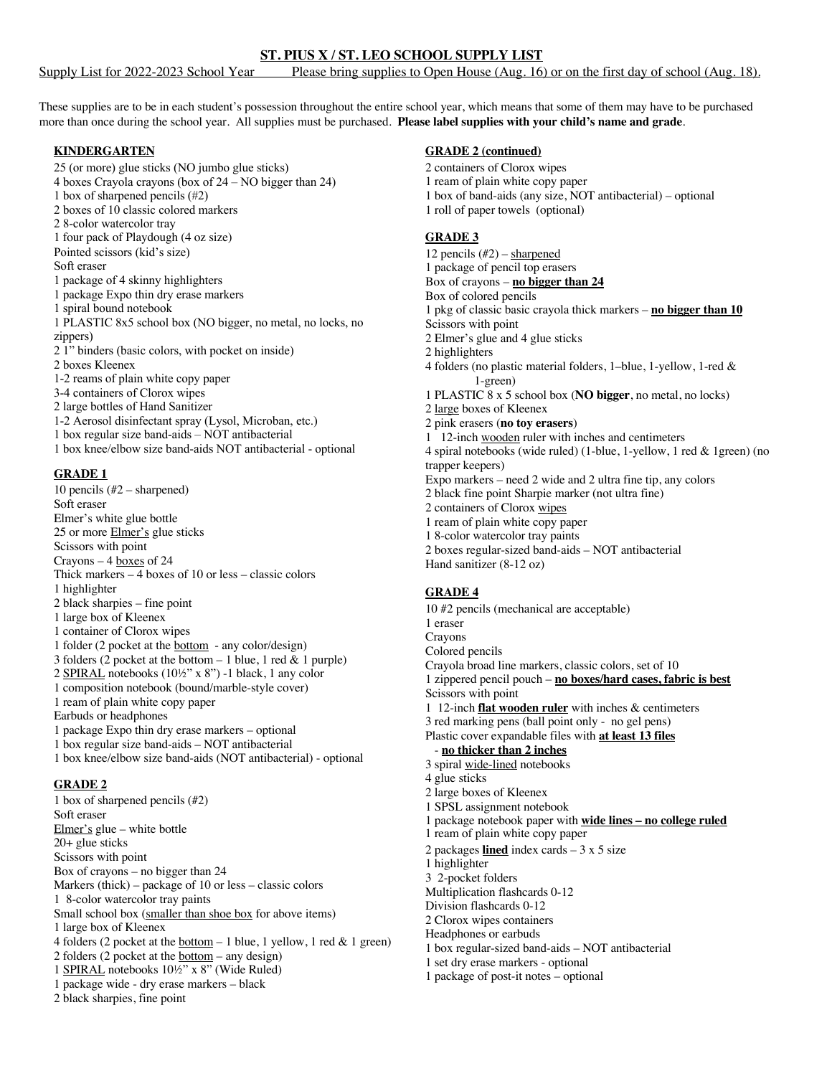Supply List for 2022-2023 School Year Please bring supplies to Open House (Aug. 16) or on the first day of school (Aug. 18).

These supplies are to be in each student's possession throughout the entire school year, which means that some of them may have to be purchased more than once during the school year. All supplies must be purchased. **Please label supplies with your child's name and grade**.

### **KINDERGARTEN**

25 (or more) glue sticks (NO jumbo glue sticks) 4 boxes Crayola crayons (box of 24 – NO bigger than 24) 1 box of sharpened pencils (#2) 2 boxes of 10 classic colored markers 2 8-color watercolor tray 1 four pack of Playdough (4 oz size) Pointed scissors (kid's size) Soft eraser 1 package of 4 skinny highlighters 1 package Expo thin dry erase markers 1 spiral bound notebook 1 PLASTIC 8x5 school box (NO bigger, no metal, no locks, no zippers) 2 1" binders (basic colors, with pocket on inside) 2 boxes Kleenex 1-2 reams of plain white copy paper 3-4 containers of Clorox wipes 2 large bottles of Hand Sanitizer 1-2 Aerosol disinfectant spray (Lysol, Microban, etc.) 1 box regular size band-aids – NOT antibacterial 1 box knee/elbow size band-aids NOT antibacterial - optional

#### **GRADE 1**

- 10 pencils (#2 sharpened) Soft eraser Elmer's white glue bottle 25 or more Elmer's glue sticks Scissors with point Crayons – 4 boxes of 24 Thick markers – 4 boxes of 10 or less – classic colors 1 highlighter 2 black sharpies – fine point 1 large box of Kleenex 1 container of Clorox wipes 1 folder (2 pocket at the bottom - any color/design) 3 folders  $(2)$  pocket at the bottom – 1 blue, 1 red & 1 purple) 2 SPIRAL notebooks (10½" x 8") -1 black, 1 any color 1 composition notebook (bound/marble-style cover) 1 ream of plain white copy paper Earbuds or headphones 1 package Expo thin dry erase markers – optional 1 box regular size band-aids – NOT antibacterial 1 box knee/elbow size band-aids (NOT antibacterial) - optional **GRADE 2**
- 1 box of sharpened pencils (#2) Soft eraser Elmer's glue – white bottle 20+ glue sticks Scissors with point Box of crayons – no bigger than 24 Markers (thick) – package of 10 or less – classic colors 1 8-color watercolor tray paints Small school box (smaller than shoe box for above items) 1 large box of Kleenex 4 folders (2 pocket at the <u>bottom</u>  $-1$  blue, 1 yellow, 1 red & 1 green) 2 folders (2 pocket at the bottom – any design) 1 SPIRAL notebooks 10½" x 8" (Wide Ruled) 1 package wide - dry erase markers – black 2 black sharpies, fine point

## **GRADE 2 (continued)**

2 containers of Clorox wipes 1 ream of plain white copy paper 1 box of band-aids (any size, NOT antibacterial) – optional 1 roll of paper towels (optional)

### **GRADE 3**

12 pencils  $(\#2)$  – sharpened 1 package of pencil top erasers Box of crayons – **no bigger than 24** Box of colored pencils 1 pkg of classic basic crayola thick markers – **no bigger than 10** Scissors with point 2 Elmer's glue and 4 glue sticks 2 highlighters 4 folders (no plastic material folders, 1–blue, 1-yellow, 1-red & 1-green) 1 PLASTIC 8 x 5 school box (**NO bigger**, no metal, no locks) 2 large boxes of Kleenex 2 pink erasers (**no toy erasers**) 1 12-inch wooden ruler with inches and centimeters 4 spiral notebooks (wide ruled) (1-blue, 1-yellow, 1 red & 1green) (no trapper keepers) Expo markers – need 2 wide and 2 ultra fine tip, any colors 2 black fine point Sharpie marker (not ultra fine) 2 containers of Clorox wipes 1 ream of plain white copy paper 1 8-color watercolor tray paints 2 boxes regular-sized band-aids – NOT antibacterial Hand sanitizer (8-12 oz)

### **GRADE 4**

- 10 #2 pencils (mechanical are acceptable) 1 eraser Crayons Colored pencils Crayola broad line markers, classic colors, set of 10 1 zippered pencil pouch – **no boxes/hard cases, fabric is best** Scissors with point 1 12-inch **flat wooden ruler** with inches & centimeters 3 red marking pens (ball point only - no gel pens) Plastic cover expandable files with **at least 13 files** - **no thicker than 2 inches** 3 spiral wide-lined notebooks 4 glue sticks 2 large boxes of Kleenex 1 SPSL assignment notebook 1 package notebook paper with **wide lines – no college ruled** 1 ream of plain white copy paper 2 packages **lined** index cards – 3 x 5 size 1 highlighter 3 2-pocket folders Multiplication flashcards 0-12 Division flashcards 0-12 2 Clorox wipes containers Headphones or earbuds 1 box regular-sized band-aids – NOT antibacterial 1 set dry erase markers - optional
- 1 package of post-it notes optional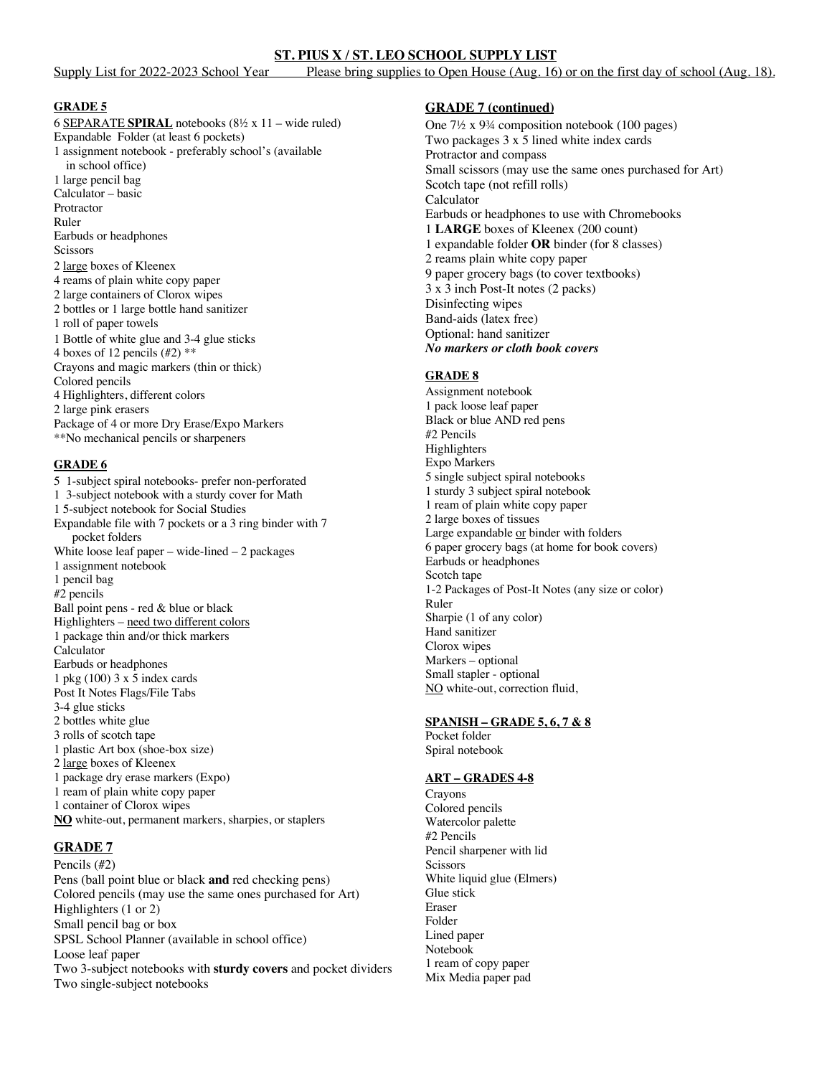Supply List for 2022-2023 School Year Please bring supplies to Open House (Aug. 16) or on the first day of school (Aug. 18).

### **GRADE 5**

6 SEPARATE **SPIRAL** notebooks (8½ x 11 – wide ruled) Expandable Folder (at least 6 pockets) 1 assignment notebook - preferably school's (available in school office) 1 large pencil bag Calculator – basic Protractor Ruler Earbuds or headphones **Scissors** 2 large boxes of Kleenex 4 reams of plain white copy paper 2 large containers of Clorox wipes 2 bottles or 1 large bottle hand sanitizer 1 roll of paper towels 1 Bottle of white glue and 3-4 glue sticks 4 boxes of 12 pencils  $(\#2)$  \*\* Crayons and magic markers (thin or thick) Colored pencils 4 Highlighters, different colors 2 large pink erasers Package of 4 or more Dry Erase/Expo Markers \*\*No mechanical pencils or sharpeners

### **GRADE 6**

5 1-subject spiral notebooks- prefer non-perforated 1 3-subject notebook with a sturdy cover for Math 1 5-subject notebook for Social Studies Expandable file with 7 pockets or a 3 ring binder with 7 pocket folders White loose leaf paper – wide-lined – 2 packages 1 assignment notebook 1 pencil bag #2 pencils Ball point pens - red & blue or black Highlighters – need two different colors 1 package thin and/or thick markers Calculator Earbuds or headphones 1 pkg (100) 3 x 5 index cards Post It Notes Flags/File Tabs 3-4 glue sticks 2 bottles white glue 3 rolls of scotch tape 1 plastic Art box (shoe-box size) 2 large boxes of Kleenex 1 package dry erase markers (Expo) 1 ream of plain white copy paper 1 container of Clorox wipes **NO** white-out, permanent markers, sharpies, or staplers

# **GRADE 7**

Pencils (#2) Pens (ball point blue or black **and** red checking pens) Colored pencils (may use the same ones purchased for Art) Highlighters (1 or 2) Small pencil bag or box SPSL School Planner (available in school office) Loose leaf paper Two 3-subject notebooks with **sturdy covers** and pocket dividers Two single-subject notebooks

### **GRADE 7 (continued)**

One 7½ x 9¾ composition notebook (100 pages) Two packages 3 x 5 lined white index cards Protractor and compass Small scissors (may use the same ones purchased for Art) Scotch tape (not refill rolls) Calculator Earbuds or headphones to use with Chromebooks 1 **LARGE** boxes of Kleenex (200 count) 1 expandable folder **OR** binder (for 8 classes) 2 reams plain white copy paper 9 paper grocery bags (to cover textbooks) 3 x 3 inch Post-It notes (2 packs) Disinfecting wipes Band-aids (latex free) Optional: hand sanitizer *No markers or cloth book covers*

### **GRADE 8**

Assignment notebook 1 pack loose leaf paper Black or blue AND red pens #2 Pencils **Highlighters** Expo Markers 5 single subject spiral notebooks 1 sturdy 3 subject spiral notebook 1 ream of plain white copy paper 2 large boxes of tissues Large expandable or binder with folders 6 paper grocery bags (at home for book covers) Earbuds or headphones Scotch tape 1-2 Packages of Post-It Notes (any size or color) Ruler Sharpie (1 of any color) Hand sanitizer Clorox wipes Markers – optional Small stapler - optional NO white-out, correction fluid,

### **SPANISH – GRADE 5, 6, 7 & 8**

Pocket folder Spiral notebook

### **ART – GRADES 4-8**

Crayons Colored pencils Watercolor palette #2 Pencils Pencil sharpener with lid Scissors White liquid glue (Elmers) Glue stick Eraser Folder Lined paper Notebook 1 ream of copy paper Mix Media paper pad